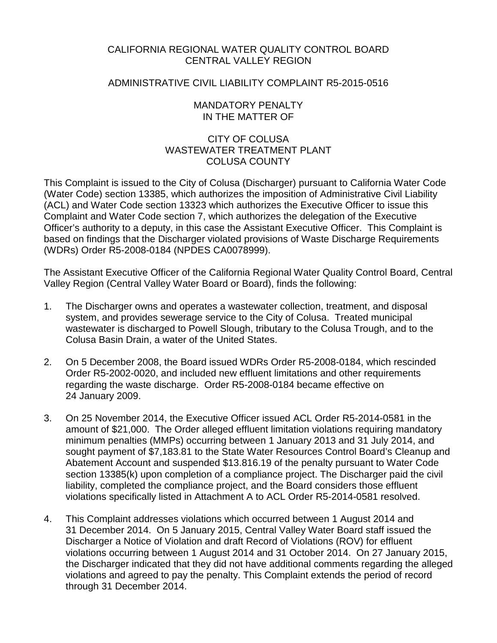# CALIFORNIA REGIONAL WATER QUALITY CONTROL BOARD CENTRAL VALLEY REGION

# ADMINISTRATIVE CIVIL LIABILITY COMPLAINT R5-2015-0516

## MANDATORY PENALTY IN THE MATTER OF

# CITY OF COLUSA WASTEWATER TREATMENT PI ANT COLUSA COUNTY

This Complaint is issued to the City of Colusa (Discharger) pursuant to California Water Code (Water Code) section 13385, which authorizes the imposition of Administrative Civil Liability (ACL) and Water Code section 13323 which authorizes the Executive Officer to issue this Complaint and Water Code section 7, which authorizes the delegation of the Executive Officer's authority to a deputy, in this case the Assistant Executive Officer. This Complaint is based on findings that the Discharger violated provisions of Waste Discharge Requirements (WDRs) Order R5-2008-0184 (NPDES CA0078999).

The Assistant Executive Officer of the California Regional Water Quality Control Board, Central Valley Region (Central Valley Water Board or Board), finds the following:

- 1. The Discharger owns and operates a wastewater collection, treatment, and disposal system, and provides sewerage service to the City of Colusa. Treated municipal wastewater is discharged to Powell Slough, tributary to the Colusa Trough, and to the Colusa Basin Drain, a water of the United States.
- 2. On 5 December 2008, the Board issued WDRs Order R5-2008-0184, which rescinded Order R5-2002-0020, and included new effluent limitations and other requirements regarding the waste discharge. Order R5-2008-0184 became effective on 24 January 2009.
- 3. On 25 November 2014, the Executive Officer issued ACL Order R5-2014-0581 in the amount of \$21,000. The Order alleged effluent limitation violations requiring mandatory minimum penalties (MMPs) occurring between 1 January 2013 and 31 July 2014, and sought payment of \$7,183.81 to the State Water Resources Control Board's Cleanup and Abatement Account and suspended \$13.816.19 of the penalty pursuant to Water Code section 13385(k) upon completion of a compliance project. The Discharger paid the civil liability, completed the compliance project, and the Board considers those effluent violations specifically listed in Attachment A to ACL Order R5-2014-0581 resolved.
- 4. This Complaint addresses violations which occurred between 1 August 2014 and 31 December 2014. On 5 January 2015, Central Valley Water Board staff issued the Discharger a Notice of Violation and draft Record of Violations (ROV) for effluent violations occurring between 1 August 2014 and 31 October 2014. On 27 January 2015, the Discharger indicated that they did not have additional comments regarding the alleged violations and agreed to pay the penalty. This Complaint extends the period of record through 31 December 2014.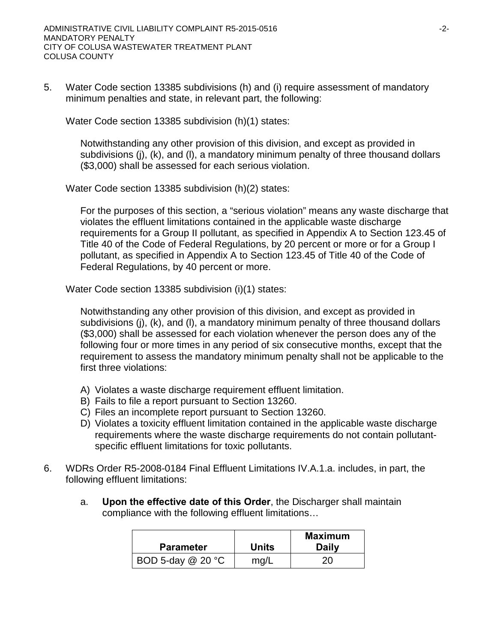5. Water Code section 13385 subdivisions (h) and (i) require assessment of mandatory minimum penalties and state, in relevant part, the following:

Water Code section 13385 subdivision (h)(1) states:

Notwithstanding any other provision of this division, and except as provided in subdivisions (j), (k), and (l), a mandatory minimum penalty of three thousand dollars (\$3,000) shall be assessed for each serious violation.

Water Code section 13385 subdivision (h)(2) states:

For the purposes of this section, a "serious violation" means any waste discharge that violates the effluent limitations contained in the applicable waste discharge requirements for a Group II pollutant, as specified in Appendix A to Section 123.45 of Title 40 of the Code of Federal Regulations, by 20 percent or more or for a Group I pollutant, as specified in Appendix A to Section 123.45 of Title 40 of the Code of Federal Regulations, by 40 percent or more.

Water Code section 13385 subdivision (i)(1) states:

Notwithstanding any other provision of this division, and except as provided in subdivisions (j), (k), and (l), a mandatory minimum penalty of three thousand dollars (\$3,000) shall be assessed for each violation whenever the person does any of the following four or more times in any period of six consecutive months, except that the requirement to assess the mandatory minimum penalty shall not be applicable to the first three violations:

- A) Violates a waste discharge requirement effluent limitation.
- B) Fails to file a report pursuant to Section 13260.
- C) Files an incomplete report pursuant to Section 13260.
- D) Violates a toxicity effluent limitation contained in the applicable waste discharge requirements where the waste discharge requirements do not contain pollutantspecific effluent limitations for toxic pollutants.
- 6. WDRs Order R5-2008-0184 Final Effluent Limitations IV.A.1.a. includes, in part, the following effluent limitations:
	- a. **Upon the effective date of this Order**, the Discharger shall maintain compliance with the following effluent limitations…

| <b>Parameter</b>  | <b>Units</b> | <b>Maximum</b><br><b>Daily</b> |
|-------------------|--------------|--------------------------------|
| BOD 5-day @ 20 °C | mg/L         | 20.                            |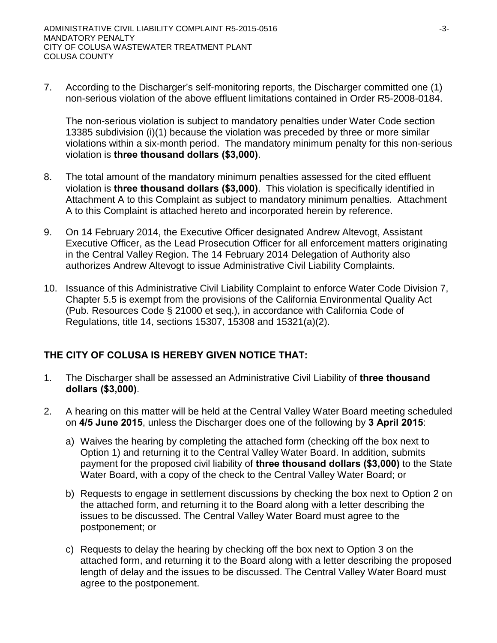7. According to the Discharger's self-monitoring reports, the Discharger committed one (1) non-serious violation of the above effluent limitations contained in Order R5-2008-0184.

The non-serious violation is subject to mandatory penalties under Water Code section 13385 subdivision (i)(1) because the violation was preceded by three or more similar violations within a six-month period. The mandatory minimum penalty for this non-serious violation is **three thousand dollars (\$3,000)**.

- 8. The total amount of the mandatory minimum penalties assessed for the cited effluent violation is **three thousand dollars (\$3,000)**.This violation is specifically identified in Attachment A to this Complaint as subject to mandatory minimum penalties. Attachment A to this Complaint is attached hereto and incorporated herein by reference.
- 9. On 14 February 2014, the Executive Officer designated Andrew Altevogt, Assistant Executive Officer, as the Lead Prosecution Officer for all enforcement matters originating in the Central Valley Region. The 14 February 2014 Delegation of Authority also authorizes Andrew Altevogt to issue Administrative Civil Liability Complaints.
- 10. Issuance of this Administrative Civil Liability Complaint to enforce Water Code Division 7, Chapter 5.5 is exempt from the provisions of the California Environmental Quality Act (Pub. Resources Code § 21000 et seq.), in accordance with California Code of Regulations, title 14, sections 15307, 15308 and 15321(a)(2).

# **THE CITY OF COLUSA IS HEREBY GIVEN NOTICE THAT:**

- 1. The Discharger shall be assessed an Administrative Civil Liability of **three thousand dollars (\$3,000)**.
- 2. A hearing on this matter will be held at the Central Valley Water Board meeting scheduled on **4/5 June 2015**, unless the Discharger does one of the following by **3 April 2015**:
	- a) Waives the hearing by completing the attached form (checking off the box next to Option 1) and returning it to the Central Valley Water Board. In addition, submits payment for the proposed civil liability of **three thousand dollars (\$3,000)** to the State Water Board, with a copy of the check to the Central Valley Water Board; or
	- b) Requests to engage in settlement discussions by checking the box next to Option 2 on the attached form, and returning it to the Board along with a letter describing the issues to be discussed. The Central Valley Water Board must agree to the postponement; or
	- c) Requests to delay the hearing by checking off the box next to Option 3 on the attached form, and returning it to the Board along with a letter describing the proposed length of delay and the issues to be discussed. The Central Valley Water Board must agree to the postponement.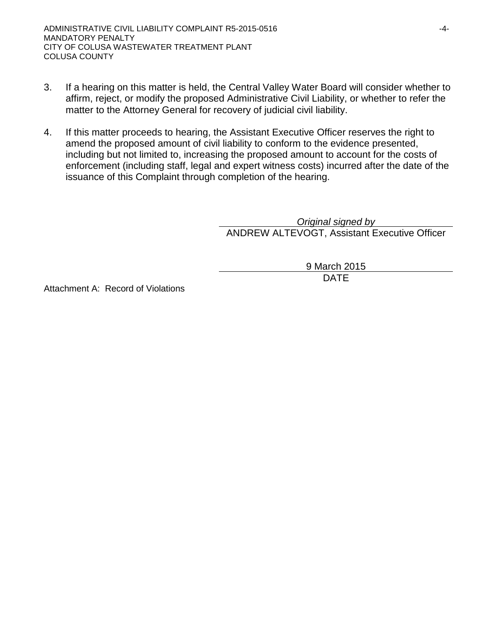- 3. If a hearing on this matter is held, the Central Valley Water Board will consider whether to affirm, reject, or modify the proposed Administrative Civil Liability, or whether to refer the matter to the Attorney General for recovery of judicial civil liability.
- 4. If this matter proceeds to hearing, the Assistant Executive Officer reserves the right to amend the proposed amount of civil liability to conform to the evidence presented, including but not limited to, increasing the proposed amount to account for the costs of enforcement (including staff, legal and expert witness costs) incurred after the date of the issuance of this Complaint through completion of the hearing.

*Original signed by* ANDREW ALTEVOGT, Assistant Executive Officer

> 9 March 2015 DATE

Attachment A: Record of Violations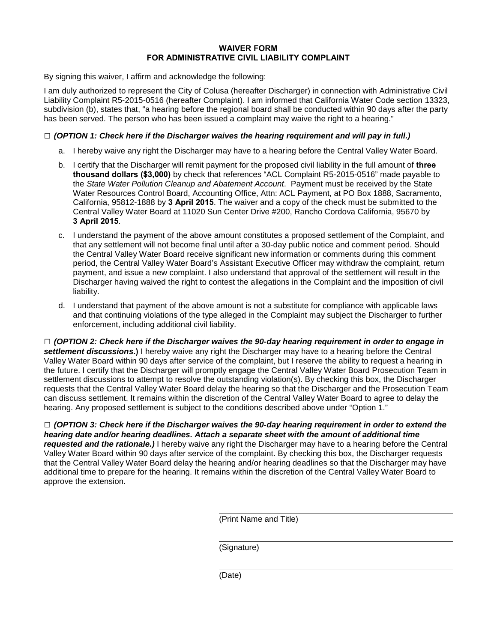#### **WAIVER FORM FOR ADMINISTRATIVE CIVIL LIABILITY COMPLAINT**

By signing this waiver, I affirm and acknowledge the following:

I am duly authorized to represent the City of Colusa (hereafter Discharger) in connection with Administrative Civil Liability Complaint R5-2015-0516 (hereafter Complaint). I am informed that California Water Code section 13323, subdivision (b), states that, "a hearing before the regional board shall be conducted within 90 days after the party has been served. The person who has been issued a complaint may waive the right to a hearing."

#### **□** *(OPTION 1: Check here if the Discharger waives the hearing requirement and will pay in full.)*

- a. I hereby waive any right the Discharger may have to a hearing before the Central Valley Water Board.
- b. I certify that the Discharger will remit payment for the proposed civil liability in the full amount of **three thousand dollars (\$3,000)** by check that references "ACL Complaint R5-2015-0516" made payable to the *State Water Pollution Cleanup and Abatement Account*. Payment must be received by the State Water Resources Control Board, Accounting Office, Attn: ACL Payment, at PO Box 1888, Sacramento, California, 95812-1888 by **3 April 2015**. The waiver and a copy of the check must be submitted to the Central Valley Water Board at 11020 Sun Center Drive #200, Rancho Cordova California, 95670 by **3 April 2015**.
- c. I understand the payment of the above amount constitutes a proposed settlement of the Complaint, and that any settlement will not become final until after a 30-day public notice and comment period. Should the Central Valley Water Board receive significant new information or comments during this comment period, the Central Valley Water Board's Assistant Executive Officer may withdraw the complaint, return payment, and issue a new complaint. I also understand that approval of the settlement will result in the Discharger having waived the right to contest the allegations in the Complaint and the imposition of civil liability.
- d. I understand that payment of the above amount is not a substitute for compliance with applicable laws and that continuing violations of the type alleged in the Complaint may subject the Discharger to further enforcement, including additional civil liability.

**□** *(OPTION 2: Check here if the Discharger waives the 90-day hearing requirement in order to engage in settlement discussions***.)** I hereby waive any right the Discharger may have to a hearing before the Central Valley Water Board within 90 days after service of the complaint, but I reserve the ability to request a hearing in the future. I certify that the Discharger will promptly engage the Central Valley Water Board Prosecution Team in settlement discussions to attempt to resolve the outstanding violation(s). By checking this box, the Discharger requests that the Central Valley Water Board delay the hearing so that the Discharger and the Prosecution Team can discuss settlement. It remains within the discretion of the Central Valley Water Board to agree to delay the hearing. Any proposed settlement is subject to the conditions described above under "Option 1."

**□** *(OPTION 3: Check here if the Discharger waives the 90-day hearing requirement in order to extend the hearing date and/or hearing deadlines. Attach a separate sheet with the amount of additional time requested and the rationale.)* I hereby waive any right the Discharger may have to a hearing before the Central Valley Water Board within 90 days after service of the complaint. By checking this box, the Discharger requests that the Central Valley Water Board delay the hearing and/or hearing deadlines so that the Discharger may have additional time to prepare for the hearing. It remains within the discretion of the Central Valley Water Board to approve the extension.

(Print Name and Title)

(Signature)

(Date)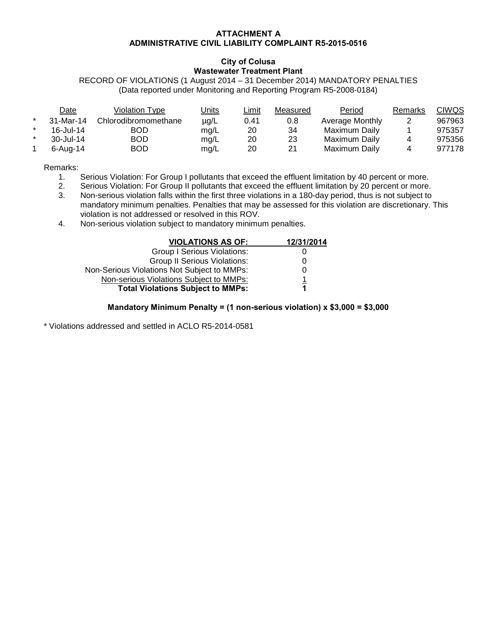#### **ATTACHMENT A ADMINISTRATIVE CIVIL LIABILITY COMPLAINT R5-2015-0516**

#### **City of Colusa Wastewater Treatment Plant**

RECORD OF VIOLATIONS (1 August 2014 – 31 December 2014) MANDATORY PENALTIES (Data reported under Monitoring and Reporting Program R5-2008-0184)

|         | Date      | Violation Type       | <u>Units</u> | Limit | Measured | Period          | Remarks | CIWQS  |
|---------|-----------|----------------------|--------------|-------|----------|-----------------|---------|--------|
| $\star$ | 31-Mar-14 | Chlorodibromomethane | $\mu$ g/L    | 0.41  | 0.8      | Average Monthly |         | 967963 |
| $\star$ | 16-Jul-14 | BOD                  | mg/L         | 20    | 34       | Maximum Dailv   |         | 975357 |
| $\star$ | 30-Jul-14 | BOD                  | mg/L         | 20    | 23       | Maximum Daily   |         | 975356 |
|         | 6-Aug-14  | BOD                  | mg/L         | 20    | 21       | Maximum Daily   |         | 977178 |

Remarks:

- 1. Serious Violation: For Group I pollutants that exceed the effluent limitation by 40 percent or more.<br>2. Serious Violation: For Group II pollutants that exceed the effluent limitation by 20 percent or more.
- Serious Violation: For Group II pollutants that exceed the effluent limitation by 20 percent or more.
- 3. Non-serious violation falls within the first three violations in a 180-day period, thus is not subject to mandatory minimum penalties. Penalties that may be assessed for this violation are discretionary. This violation is not addressed or resolved in this ROV.
- 4. Non-serious violation subject to mandatory minimum penalties.

| <b>VIOLATIONS AS OF:</b>                    | 12/31/2014 |
|---------------------------------------------|------------|
| Group I Serious Violations:                 |            |
| <b>Group II Serious Violations:</b>         | 0          |
| Non-Serious Violations Not Subject to MMPs: | 0          |
| Non-serious Violations Subject to MMPs:     |            |
| <b>Total Violations Subject to MMPs:</b>    | 1          |

#### **Mandatory Minimum Penalty = (1 non-serious violation) x \$3,000 = \$3,000**

\* Violations addressed and settled in ACLO R5-2014-0581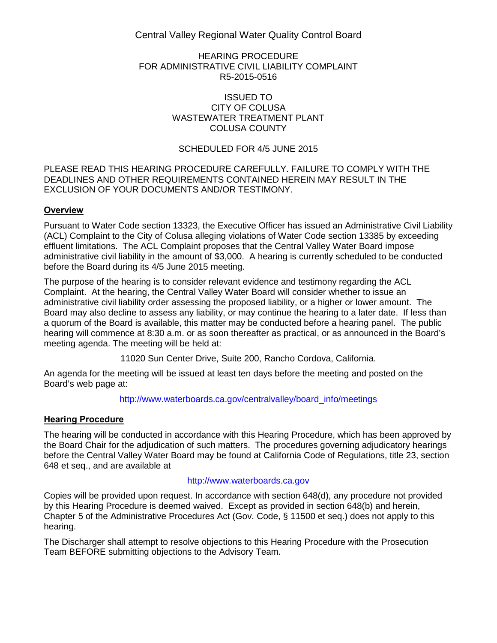Central Valley Regional Water Quality Control Board

#### HEARING PROCEDURE FOR ADMINISTRATIVE CIVIL LIABILITY COMPLAINT R5-2015-0516

#### ISSUED TO CITY OF COLUSA WASTEWATER TREATMENT PLANT COLUSA COUNTY

### SCHEDULED FOR 4/5 JUNE 2015

#### PLEASE READ THIS HEARING PROCEDURE CAREFULLY. FAILURE TO COMPLY WITH THE DEADLINES AND OTHER REQUIREMENTS CONTAINED HEREIN MAY RESULT IN THE EXCLUSION OF YOUR DOCUMENTS AND/OR TESTIMONY.

### **Overview**

Pursuant to Water Code section 13323, the Executive Officer has issued an Administrative Civil Liability (ACL) Complaint to the City of Colusa alleging violations of Water Code section 13385 by exceeding effluent limitations. The ACL Complaint proposes that the Central Valley Water Board impose administrative civil liability in the amount of \$3,000. A hearing is currently scheduled to be conducted before the Board during its 4/5 June 2015 meeting.

The purpose of the hearing is to consider relevant evidence and testimony regarding the ACL Complaint. At the hearing, the Central Valley Water Board will consider whether to issue an administrative civil liability order assessing the proposed liability, or a higher or lower amount. The Board may also decline to assess any liability, or may continue the hearing to a later date. If less than a quorum of the Board is available, this matter may be conducted before a hearing panel. The public hearing will commence at 8:30 a.m. or as soon thereafter as practical, or as announced in the Board's meeting agenda. The meeting will be held at:

11020 Sun Center Drive, Suite 200, Rancho Cordova, California.

An agenda for the meeting will be issued at least ten days before the meeting and posted on the Board's web page at:

[http://www.waterboards.ca.gov/centralvalley/board\\_info/meetings](http://www.waterboards.ca.gov/centralvalley/board_info/meetings)

### **Hearing Procedure**

The hearing will be conducted in accordance with this Hearing Procedure, which has been approved by the Board Chair for the adjudication of such matters. The procedures governing adjudicatory hearings before the Central Valley Water Board may be found at California Code of Regulations, title 23, section 648 et seq., and are available at

#### [http://www.waterboards.ca.gov](http://www.waterboards.ca.gov/)

Copies will be provided upon request. In accordance with section 648(d), any procedure not provided by this Hearing Procedure is deemed waived. Except as provided in section 648(b) and herein, Chapter 5 of the Administrative Procedures Act (Gov. Code, § 11500 et seq.) does not apply to this hearing.

The Discharger shall attempt to resolve objections to this Hearing Procedure with the Prosecution Team BEFORE submitting objections to the Advisory Team.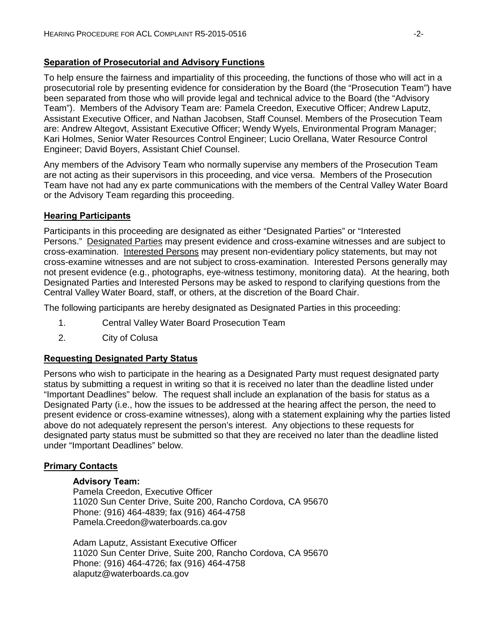### **Separation of Prosecutorial and Advisory Functions**

To help ensure the fairness and impartiality of this proceeding, the functions of those who will act in a prosecutorial role by presenting evidence for consideration by the Board (the "Prosecution Team") have been separated from those who will provide legal and technical advice to the Board (the "Advisory Team"). Members of the Advisory Team are: Pamela Creedon, Executive Officer; Andrew Laputz, Assistant Executive Officer, and Nathan Jacobsen, Staff Counsel. Members of the Prosecution Team are: Andrew Altegovt, Assistant Executive Officer; Wendy Wyels, Environmental Program Manager; Kari Holmes, Senior Water Resources Control Engineer; Lucio Orellana, Water Resource Control Engineer; David Boyers, Assistant Chief Counsel.

Any members of the Advisory Team who normally supervise any members of the Prosecution Team are not acting as their supervisors in this proceeding, and vice versa. Members of the Prosecution Team have not had any ex parte communications with the members of the Central Valley Water Board or the Advisory Team regarding this proceeding.

### **Hearing Participants**

Participants in this proceeding are designated as either "Designated Parties" or "Interested Persons." Designated Parties may present evidence and cross-examine witnesses and are subject to cross-examination. Interested Persons may present non-evidentiary policy statements, but may not cross-examine witnesses and are not subject to cross-examination. Interested Persons generally may not present evidence (e.g., photographs, eye-witness testimony, monitoring data). At the hearing, both Designated Parties and Interested Persons may be asked to respond to clarifying questions from the Central Valley Water Board, staff, or others, at the discretion of the Board Chair.

The following participants are hereby designated as Designated Parties in this proceeding:

- 1. Central Valley Water Board Prosecution Team
- 2. City of Colusa

### **Requesting Designated Party Status**

Persons who wish to participate in the hearing as a Designated Party must request designated party status by submitting a request in writing so that it is received no later than the deadline listed under "Important Deadlines" below. The request shall include an explanation of the basis for status as a Designated Party (i.e., how the issues to be addressed at the hearing affect the person, the need to present evidence or cross-examine witnesses), along with a statement explaining why the parties listed above do not adequately represent the person's interest. Any objections to these requests for designated party status must be submitted so that they are received no later than the deadline listed under "Important Deadlines" below.

### **Primary Contacts**

#### **Advisory Team:**

Pamela Creedon, Executive Officer 11020 Sun Center Drive, Suite 200, Rancho Cordova, CA 95670 Phone: (916) 464-4839; fax (916) 464-4758 Pamela.Creedon@waterboards.ca.gov

Adam Laputz, Assistant Executive Officer 11020 Sun Center Drive, Suite 200, Rancho Cordova, CA 95670 Phone: (916) 464-4726; fax (916) 464-4758 alaputz@waterboards.ca.gov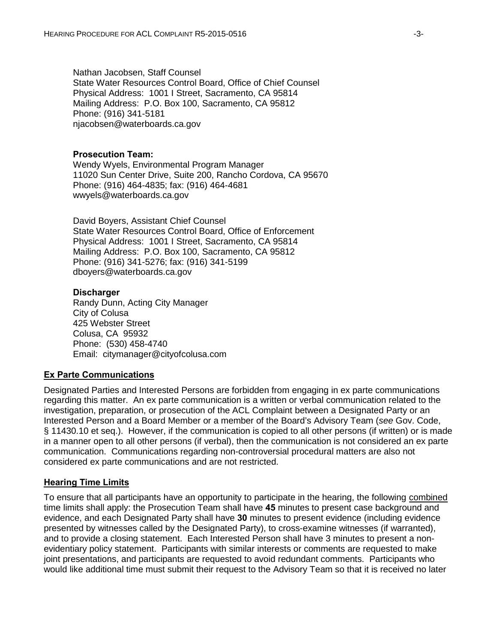Nathan Jacobsen, Staff Counsel State Water Resources Control Board, Office of Chief Counsel Physical Address: 1001 I Street, Sacramento, CA 95814 Mailing Address: P.O. Box 100, Sacramento, CA 95812 Phone: (916) 341-5181 njacobsen@waterboards.ca.gov

#### **Prosecution Team:**

Wendy Wyels, Environmental Program Manager 11020 Sun Center Drive, Suite 200, Rancho Cordova, CA 95670 Phone: (916) 464-4835; fax: (916) 464-4681 wwyels@waterboards.ca.gov

David Boyers, Assistant Chief Counsel State Water Resources Control Board, Office of Enforcement Physical Address: 1001 I Street, Sacramento, CA 95814 Mailing Address: P.O. Box 100, Sacramento, CA 95812 Phone: (916) 341-5276; fax: (916) 341-5199 dboyers@waterboards.ca.gov

#### **Discharger**

Randy Dunn, Acting City Manager City of Colusa 425 Webster Street Colusa, CA 95932 Phone: (530) 458-4740 Email: citymanager@cityofcolusa.com

#### **Ex Parte Communications**

Designated Parties and Interested Persons are forbidden from engaging in ex parte communications regarding this matter. An ex parte communication is a written or verbal communication related to the investigation, preparation, or prosecution of the ACL Complaint between a Designated Party or an Interested Person and a Board Member or a member of the Board's Advisory Team (*see* Gov. Code, § 11430.10 et seq.). However, if the communication is copied to all other persons (if written) or is made in a manner open to all other persons (if verbal), then the communication is not considered an ex parte communication. Communications regarding non-controversial procedural matters are also not considered ex parte communications and are not restricted.

#### **Hearing Time Limits**

To ensure that all participants have an opportunity to participate in the hearing, the following combined time limits shall apply: the Prosecution Team shall have **45** minutes to present case background and evidence, and each Designated Party shall have **30** minutes to present evidence (including evidence presented by witnesses called by the Designated Party), to cross-examine witnesses (if warranted), and to provide a closing statement. Each Interested Person shall have 3 minutes to present a nonevidentiary policy statement. Participants with similar interests or comments are requested to make joint presentations, and participants are requested to avoid redundant comments. Participants who would like additional time must submit their request to the Advisory Team so that it is received no later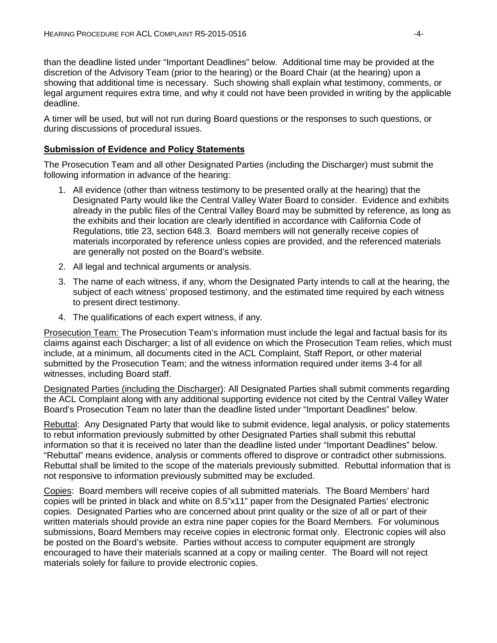than the deadline listed under "Important Deadlines" below. Additional time may be provided at the discretion of the Advisory Team (prior to the hearing) or the Board Chair (at the hearing) upon a showing that additional time is necessary. Such showing shall explain what testimony, comments, or legal argument requires extra time, and why it could not have been provided in writing by the applicable deadline.

A timer will be used, but will not run during Board questions or the responses to such questions, or during discussions of procedural issues.

#### **Submission of Evidence and Policy Statements**

The Prosecution Team and all other Designated Parties (including the Discharger) must submit the following information in advance of the hearing:

- 1. All evidence (other than witness testimony to be presented orally at the hearing) that the Designated Party would like the Central Valley Water Board to consider. Evidence and exhibits already in the public files of the Central Valley Board may be submitted by reference, as long as the exhibits and their location are clearly identified in accordance with California Code of Regulations, title 23, section 648.3. Board members will not generally receive copies of materials incorporated by reference unless copies are provided, and the referenced materials are generally not posted on the Board's website.
- 2. All legal and technical arguments or analysis.
- 3. The name of each witness, if any, whom the Designated Party intends to call at the hearing, the subject of each witness' proposed testimony, and the estimated time required by each witness to present direct testimony.
- 4. The qualifications of each expert witness, if any.

Prosecution Team: The Prosecution Team's information must include the legal and factual basis for its claims against each Discharger; a list of all evidence on which the Prosecution Team relies, which must include, at a minimum, all documents cited in the ACL Complaint, Staff Report, or other material submitted by the Prosecution Team; and the witness information required under items 3-4 for all witnesses, including Board staff.

Designated Parties (including the Discharger): All Designated Parties shall submit comments regarding the ACL Complaint along with any additional supporting evidence not cited by the Central Valley Water Board's Prosecution Team no later than the deadline listed under "Important Deadlines" below.

Rebuttal: Any Designated Party that would like to submit evidence, legal analysis, or policy statements to rebut information previously submitted by other Designated Parties shall submit this rebuttal information so that it is received no later than the deadline listed under "Important Deadlines" below. "Rebuttal" means evidence, analysis or comments offered to disprove or contradict other submissions. Rebuttal shall be limited to the scope of the materials previously submitted. Rebuttal information that is not responsive to information previously submitted may be excluded.

Copies: Board members will receive copies of all submitted materials. The Board Members' hard copies will be printed in black and white on 8.5"x11" paper from the Designated Parties' electronic copies. Designated Parties who are concerned about print quality or the size of all or part of their written materials should provide an extra nine paper copies for the Board Members. For voluminous submissions, Board Members may receive copies in electronic format only. Electronic copies will also be posted on the Board's website. Parties without access to computer equipment are strongly encouraged to have their materials scanned at a copy or mailing center. The Board will not reject materials solely for failure to provide electronic copies.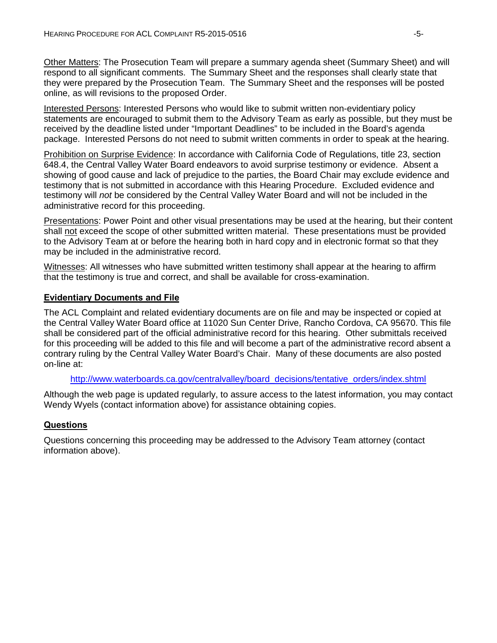Other Matters: The Prosecution Team will prepare a summary agenda sheet (Summary Sheet) and will respond to all significant comments. The Summary Sheet and the responses shall clearly state that they were prepared by the Prosecution Team. The Summary Sheet and the responses will be posted online, as will revisions to the proposed Order.

Interested Persons: Interested Persons who would like to submit written non-evidentiary policy statements are encouraged to submit them to the Advisory Team as early as possible, but they must be received by the deadline listed under "Important Deadlines" to be included in the Board's agenda package. Interested Persons do not need to submit written comments in order to speak at the hearing.

Prohibition on Surprise Evidence: In accordance with California Code of Regulations, title 23, section 648.4, the Central Valley Water Board endeavors to avoid surprise testimony or evidence. Absent a showing of good cause and lack of prejudice to the parties, the Board Chair may exclude evidence and testimony that is not submitted in accordance with this Hearing Procedure. Excluded evidence and testimony will *not* be considered by the Central Valley Water Board and will not be included in the administrative record for this proceeding.

Presentations: Power Point and other visual presentations may be used at the hearing, but their content shall not exceed the scope of other submitted written material. These presentations must be provided to the Advisory Team at or before the hearing both in hard copy and in electronic format so that they may be included in the administrative record.

Witnesses: All witnesses who have submitted written testimony shall appear at the hearing to affirm that the testimony is true and correct, and shall be available for cross-examination.

### **Evidentiary Documents and File**

The ACL Complaint and related evidentiary documents are on file and may be inspected or copied at the Central Valley Water Board office at 11020 Sun Center Drive, Rancho Cordova, CA 95670. This file shall be considered part of the official administrative record for this hearing. Other submittals received for this proceeding will be added to this file and will become a part of the administrative record absent a contrary ruling by the Central Valley Water Board's Chair. Many of these documents are also posted on-line at:

#### [http://www.waterboards.ca.gov/centralvalley/board\\_decisions/tentative\\_orders/index.shtml](http://www.waterboards.ca.gov/centralvalley/board_decisions/tentative_orders/index.shtml)

Although the web page is updated regularly, to assure access to the latest information, you may contact Wendy Wyels (contact information above) for assistance obtaining copies.

### **Questions**

Questions concerning this proceeding may be addressed to the Advisory Team attorney (contact information above).